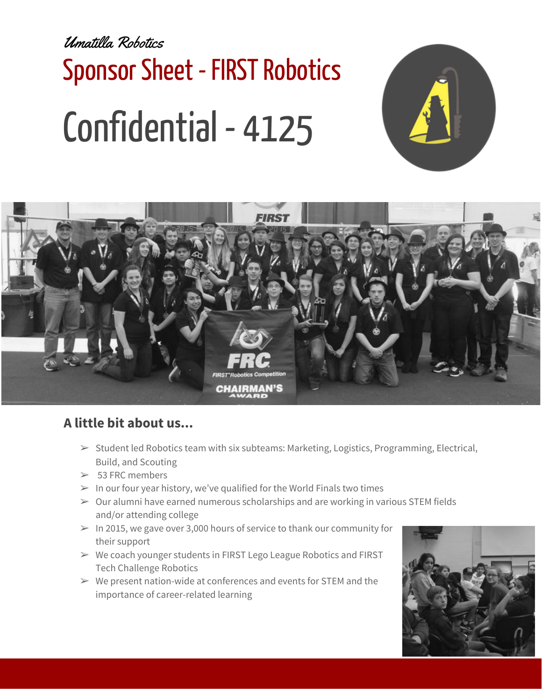Umatilla Robotics Sponsor Sheet - FIRST Robotics Confidential - 4125





## **A little bit about us...**

- $\triangleright$  Student led Robotics team with six subteams: Marketing, Logistics, Programming, Electrical, Build, and Scouting
- $> 53$  FRC members
- $>$  In our four year history, we've qualified for the World Finals two times
- $\geq 0$ ur alumni have earned numerous scholarships and are working in various STEM fields and/or attending college
- $>$  In 2015, we gave over 3,000 hours of service to thank our community for their support
- ➢ We coach younger students in FIRST Lego League Robotics and FIRST Tech Challenge Robotics
- $\triangleright$  We present nation-wide at conferences and events for STEM and the importance of career-related learning